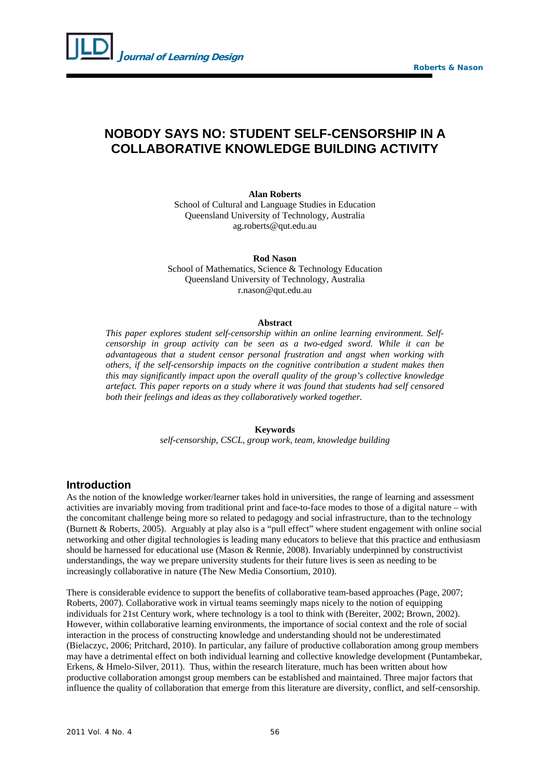

## **NOBODY SAYS NO: STUDENT SELF-CENSORSHIP IN A COLLABORATIVE KNOWLEDGE BUILDING ACTIVITY**

**Alan Roberts** 

School of Cultural and Language Studies in Education Queensland University of Technology, Australia [ag.roberts@qut.edu.au](mailto:ag.roberts@qut.edu.au) 

**Rod Nason** 

School of Mathematics, Science & Technology Education Queensland University of Technology, Australia r.nason@qut.edu.au

## **Abstract**

*This paper explores student self-censorship within an online learning environment. Selfcensorship in group activity can be seen as a two-edged sword. While it can be advantageous that a student censor personal frustration and angst when working with others, if the self-censorship impacts on the cognitive contribution a student makes then this may significantly impact upon the overall quality of the group's collective knowledge artefact. This paper reports on a study where it was found that students had self censored both their feelings and ideas as they collaboratively worked together.* 

**Keywords** 

*self-censorship, CSCL, group work, team, knowledge building* 

## **Introduction**

As the notion of the knowledge worker/learner takes hold in universities, the range of learning and assessment activities are invariably moving from traditional print and face-to-face modes to those of a digital nature – with the concomitant challenge being more so related to pedagogy and social infrastructure, than to the technology (Burnett & Roberts, 2005). Arguably at play also is a "pull effect" where student engagement with online social networking and other digital technologies is leading many educators to believe that this practice and enthusiasm should be harnessed for educational use (Mason & Rennie, 2008). Invariably underpinned by constructivist understandings, the way we prepare university students for their future lives is seen as needing to be increasingly collaborative in nature (The New Media Consortium, 2010).

There is considerable evidence to support the benefits of collaborative team-based approaches (Page, 2007; Roberts, 2007). Collaborative work in virtual teams seemingly maps nicely to the notion of equipping individuals for 21st Century work, where technology is a tool to think with (Bereiter, 2002; Brown, 2002). However, within collaborative learning environments, the importance of social context and the role of social interaction in the process of constructing knowledge and understanding should not be underestimated (Bielaczyc, 2006; Pritchard, 2010). In particular, any failure of productive collaboration among group members may have a detrimental effect on both individual learning and collective knowledge development (Puntambekar, Erkens, & Hmelo-Silver, 2011). Thus, within the research literature, much has been written about how productive collaboration amongst group members can be established and maintained. Three major factors that influence the quality of collaboration that emerge from this literature are diversity, conflict, and self-censorship.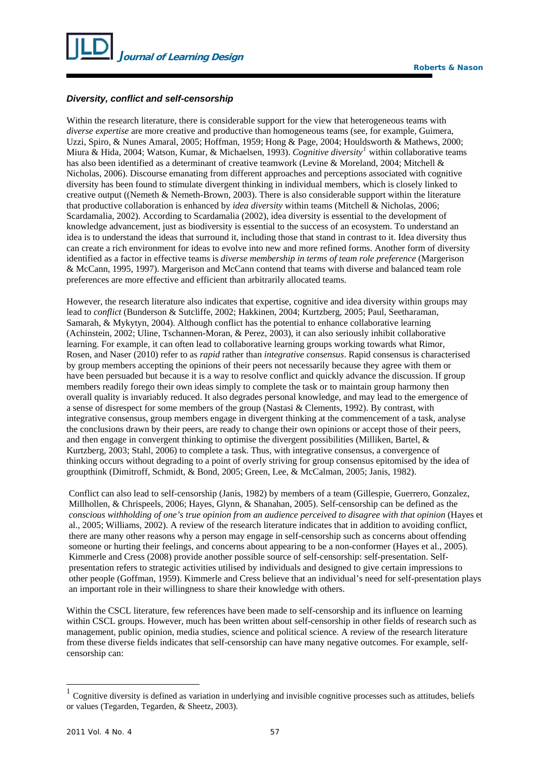

## *Diversity, conflict and self-censorship*

Within the research literature, there is considerable support for the view that heterogeneous teams with *diverse expertise* are more creative and productive than homogeneous teams (see, for example, Guimera, Uzzi, Spiro, & Nunes Amaral, 2005; Hoffman, 1959; Hong & Page, 2004; Houldsworth & Mathews, 2000; Miura & Hida, 2004; Watson, Kumar, & Michaelsen, 1993). *Cognitive diversity[1](#page-1-0)* within collaborative teams has also been identified as a determinant of creative teamwork (Levine & Moreland, 2004; Mitchell & Nicholas, 2006). Discourse emanating from different approaches and perceptions associated with cognitive diversity has been found to stimulate divergent thinking in individual members, which is closely linked to creative output ((Nemeth & Nemeth-Brown, 2003). There is also considerable support within the literature that productive collaboration is enhanced by *idea diversity* within teams (Mitchell & Nicholas, 2006; Scardamalia, 2002). According to Scardamalia (2002), idea diversity is essential to the development of knowledge advancement, just as biodiversity is essential to the success of an ecosystem. To understand an idea is to understand the ideas that surround it, including those that stand in contrast to it. Idea diversity thus can create a rich environment for ideas to evolve into new and more refined forms. Another form of diversity identified as a factor in effective teams is *diverse membership in terms of team role preference* (Margerison & McCann, 1995, 1997). Margerison and McCann contend that teams with diverse and balanced team role preferences are more effective and efficient than arbitrarily allocated teams.

However, the research literature also indicates that expertise, cognitive and idea diversity within groups may lead to *conflict* (Bunderson & Sutcliffe, 2002; Hakkinen, 2004; Kurtzberg, 2005; Paul, Seetharaman, Samarah, & Mykytyn, 2004). Although conflict has the potential to enhance collaborative learning (Achinstein, 2002; Uline, Tschannen-Moran, & Perez, 2003), it can also seriously inhibit collaborative learning. For example, it can often lead to collaborative learning groups working towards what Rimor, Rosen, and Naser (2010) refer to as *rapid* rather than *integrative consensus*. Rapid consensus is characterised by group members accepting the opinions of their peers not necessarily because they agree with them or have been persuaded but because it is a way to resolve conflict and quickly advance the discussion. If group members readily forego their own ideas simply to complete the task or to maintain group harmony then overall quality is invariably reduced. It also degrades personal knowledge, and may lead to the emergence of a sense of disrespect for some members of the group (Nastasi & Clements, 1992). By contrast, with integrative consensus, group members engage in divergent thinking at the commencement of a task, analyse the conclusions drawn by their peers, are ready to change their own opinions or accept those of their peers, and then engage in convergent thinking to optimise the divergent possibilities (Milliken, Bartel, & Kurtzberg, 2003; Stahl, 2006) to complete a task. Thus, with integrative consensus, a convergence of thinking occurs without degrading to a point of overly striving for group consensus epitomised by the idea of groupthink (Dimitroff, Schmidt, & Bond, 2005; Green, Lee, & McCalman, 2005; Janis, 1982).

Conflict can also lead to self-censorship (Janis, 1982) by members of a team (Gillespie, Guerrero, Gonzalez, Millhollen, & Chrispeels, 2006; Hayes, Glynn, & Shanahan, 2005). Self-censorship can be defined as the *conscious withholding of one's true opinion from an audience perceived to disagree with that opinion* (Hayes et al., 2005; Williams, 2002). A review of the research literature indicates that in addition to avoiding conflict, there are many other reasons why a person may engage in self-censorship such as concerns about offending someone or hurting their feelings, and concerns about appearing to be a non-conformer (Hayes et al., 2005). Kimmerle and Cress (2008) provide another possible source of self-censorship: self-presentation. Selfpresentation refers to strategic activities utilised by individuals and designed to give certain impressions to other people (Goffman, 1959). Kimmerle and Cress believe that an individual's need for self-presentation plays an important role in their willingness to share their knowledge with others.

Within the CSCL literature, few references have been made to self-censorship and its influence on learning within CSCL groups. However, much has been written about self-censorship in other fields of research such as management, public opinion, media studies, science and political science. A review of the research literature from these diverse fields indicates that self-censorship can have many negative outcomes. For example, selfcensorship can:

-

<span id="page-1-0"></span><sup>1</sup> Cognitive diversity is defined as variation in underlying and invisible cognitive processes such as attitudes, beliefs or values (Tegarden, Tegarden, & Sheetz, 2003).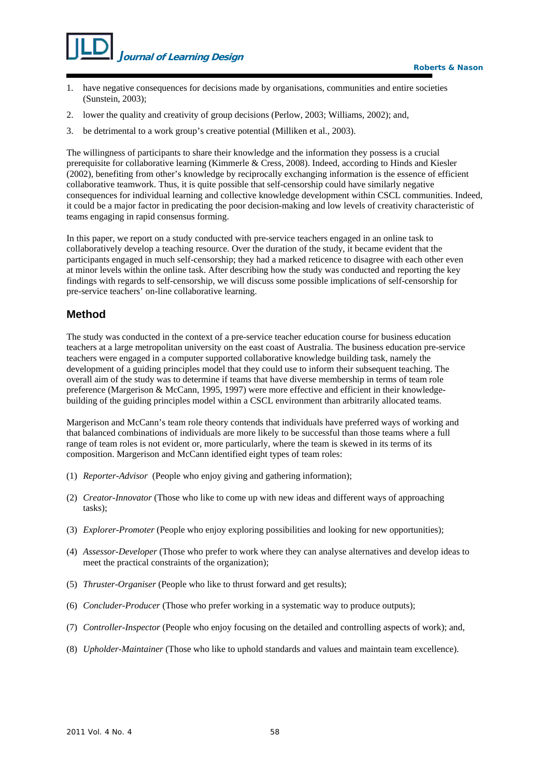

- 1. have negative consequences for decisions made by organisations, communities and entire societies (Sunstein, 2003);
- 2. lower the quality and creativity of group decisions (Perlow, 2003; Williams, 2002); and,
- 3. be detrimental to a work group's creative potential (Milliken et al., 2003).

The willingness of participants to share their knowledge and the information they possess is a crucial prerequisite for collaborative learning (Kimmerle & Cress, 2008). Indeed, according to Hinds and Kiesler (2002), benefiting from other's knowledge by reciprocally exchanging information is the essence of efficient collaborative teamwork. Thus, it is quite possible that self-censorship could have similarly negative consequences for individual learning and collective knowledge development within CSCL communities. Indeed, it could be a major factor in predicating the poor decision-making and low levels of creativity characteristic of teams engaging in rapid consensus forming.

In this paper, we report on a study conducted with pre-service teachers engaged in an online task to collaboratively develop a teaching resource. Over the duration of the study, it became evident that the participants engaged in much self-censorship; they had a marked reticence to disagree with each other even at minor levels within the online task. After describing how the study was conducted and reporting the key findings with regards to self-censorship, we will discuss some possible implications of self-censorship for pre-service teachers' on-line collaborative learning.

## **Method**

The study was conducted in the context of a pre-service teacher education course for business education teachers at a large metropolitan university on the east coast of Australia. The business education pre-service teachers were engaged in a computer supported collaborative knowledge building task, namely the development of a guiding principles model that they could use to inform their subsequent teaching. The overall aim of the study was to determine if teams that have diverse membership in terms of team role preference (Margerison & McCann, 1995, 1997) were more effective and efficient in their knowledgebuilding of the guiding principles model within a CSCL environment than arbitrarily allocated teams.

Margerison and McCann's team role theory contends that individuals have preferred ways of working and that balanced combinations of individuals are more likely to be successful than those teams where a full range of team roles is not evident or, more particularly, where the team is skewed in its terms of its composition. Margerison and McCann identified eight types of team roles:

- (1) *Reporter-Advisor* (People who enjoy giving and gathering information);
- (2) *Creator-Innovator* (Those who like to come up with new ideas and different ways of approaching tasks);
- (3) *Explorer-Promoter* (People who enjoy exploring possibilities and looking for new opportunities);
- (4) *Assessor-Developer* (Those who prefer to work where they can analyse alternatives and develop ideas to meet the practical constraints of the organization);
- (5) *Thruster-Organiser* (People who like to thrust forward and get results);
- (6) *Concluder-Producer* (Those who prefer working in a systematic way to produce outputs);
- (7) *Controller-Inspector* (People who enjoy focusing on the detailed and controlling aspects of work); and,
- (8) *Upholder-Maintainer* (Those who like to uphold standards and values and maintain team excellence).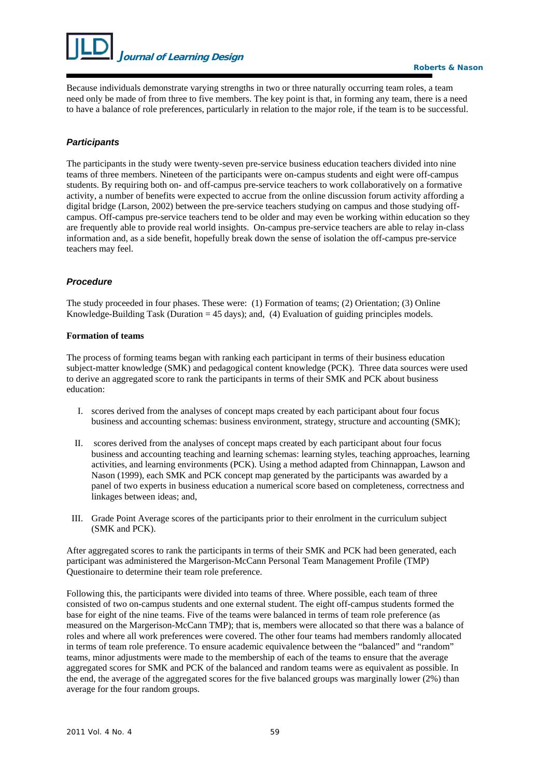

Because individuals demonstrate varying strengths in two or three naturally occurring team roles, a team need only be made of from three to five members. The key point is that, in forming any team, there is a need to have a balance of role preferences, particularly in relation to the major role, if the team is to be successful.

## *Participants*

The participants in the study were twenty-seven pre-service business education teachers divided into nine teams of three members. Nineteen of the participants were on-campus students and eight were off-campus students. By requiring both on- and off-campus pre-service teachers to work collaboratively on a formative activity, a number of benefits were expected to accrue from the online discussion forum activity affording a digital bridge (Larson, 2002) between the pre-service teachers studying on campus and those studying offcampus. Off-campus pre-service teachers tend to be older and may even be working within education so they are frequently able to provide real world insights. On-campus pre-service teachers are able to relay in-class information and, as a side benefit, hopefully break down the sense of isolation the off-campus pre-service teachers may feel.

## *Procedure*

The study proceeded in four phases. These were: (1) Formation of teams; (2) Orientation; (3) Online Knowledge-Building Task (Duration  $= 45$  days); and, (4) Evaluation of guiding principles models.

#### **Formation of teams**

The process of forming teams began with ranking each participant in terms of their business education subject-matter knowledge (SMK) and pedagogical content knowledge (PCK). Three data sources were used to derive an aggregated score to rank the participants in terms of their SMK and PCK about business education:

- I. scores derived from the analyses of concept maps created by each participant about four focus business and accounting schemas: business environment, strategy, structure and accounting (SMK);
- II. scores derived from the analyses of concept maps created by each participant about four focus business and accounting teaching and learning schemas: learning styles, teaching approaches, learning activities, and learning environments (PCK). Using a method adapted from Chinnappan, Lawson and Nason (1999), each SMK and PCK concept map generated by the participants was awarded by a panel of two experts in business education a numerical score based on completeness, correctness and linkages between ideas; and,
- III. Grade Point Average scores of the participants prior to their enrolment in the curriculum subject (SMK and PCK).

After aggregated scores to rank the participants in terms of their SMK and PCK had been generated, each participant was administered the Margerison-McCann Personal Team Management Profile (TMP) Questionaire to determine their team role preference.

Following this, the participants were divided into teams of three. Where possible, each team of three consisted of two on-campus students and one external student. The eight off-campus students formed the base for eight of the nine teams. Five of the teams were balanced in terms of team role preference (as measured on the Margerison-McCann TMP); that is, members were allocated so that there was a balance of roles and where all work preferences were covered. The other four teams had members randomly allocated in terms of team role preference. To ensure academic equivalence between the "balanced" and "random" teams, minor adjustments were made to the membership of each of the teams to ensure that the average aggregated scores for SMK and PCK of the balanced and random teams were as equivalent as possible. In the end, the average of the aggregated scores for the five balanced groups was marginally lower (2%) than average for the four random groups.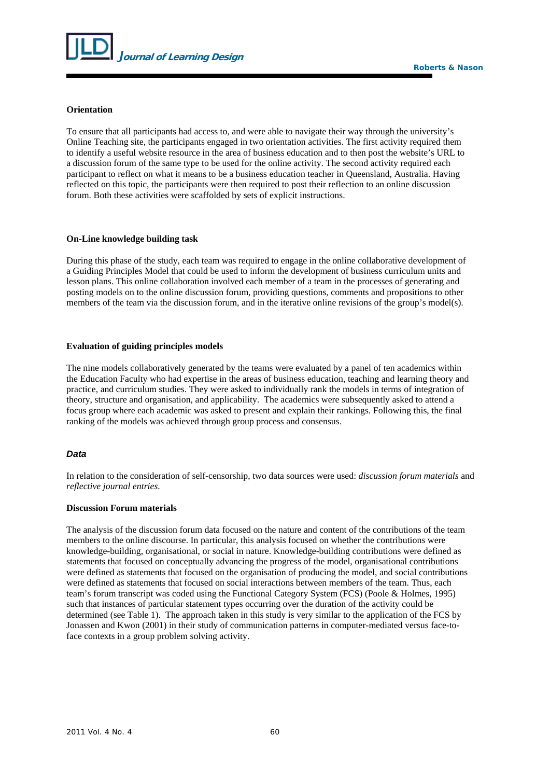

## **Orientation**

To ensure that all participants had access to, and were able to navigate their way through the university's Online Teaching site, the participants engaged in two orientation activities. The first activity required them to identify a useful website resource in the area of business education and to then post the website's URL to a discussion forum of the same type to be used for the online activity. The second activity required each participant to reflect on what it means to be a business education teacher in Queensland, Australia. Having reflected on this topic, the participants were then required to post their reflection to an online discussion forum. Both these activities were scaffolded by sets of explicit instructions.

## **On-Line knowledge building task**

During this phase of the study, each team was required to engage in the online collaborative development of a Guiding Principles Model that could be used to inform the development of business curriculum units and lesson plans. This online collaboration involved each member of a team in the processes of generating and posting models on to the online discussion forum, providing questions, comments and propositions to other members of the team via the discussion forum, and in the iterative online revisions of the group's model(s).

#### **Evaluation of guiding principles models**

The nine models collaboratively generated by the teams were evaluated by a panel of ten academics within the Education Faculty who had expertise in the areas of business education, teaching and learning theory and practice, and curriculum studies. They were asked to individually rank the models in terms of integration of theory, structure and organisation, and applicability. The academics were subsequently asked to attend a focus group where each academic was asked to present and explain their rankings. Following this, the final ranking of the models was achieved through group process and consensus.

## *Data*

In relation to the consideration of self-censorship, two data sources were used: *discussion forum materials* and *reflective journal entries*.

#### **Discussion Forum materials**

The analysis of the discussion forum data focused on the nature and content of the contributions of the team members to the online discourse. In particular, this analysis focused on whether the contributions were knowledge-building, organisational, or social in nature. Knowledge-building contributions were defined as statements that focused on conceptually advancing the progress of the model, organisational contributions were defined as statements that focused on the organisation of producing the model, and social contributions were defined as statements that focused on social interactions between members of the team. Thus, each team's forum transcript was coded using the Functional Category System (FCS) (Poole & Holmes, 1995) such that instances of particular statement types occurring over the duration of the activity could be determined (see Table 1). The approach taken in this study is very similar to the application of the FCS by Jonassen and Kwon (2001) in their study of communication patterns in computer-mediated versus face-toface contexts in a group problem solving activity.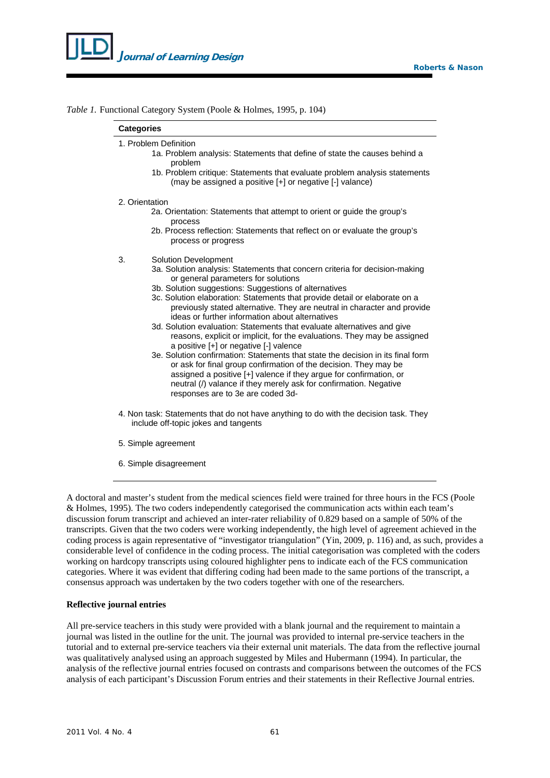

*Table 1.* Functional Category System (Poole & Holmes, 1995, p. 104)

|    | 1. Problem Definition                                                                                                                                                                                                                                                                          |
|----|------------------------------------------------------------------------------------------------------------------------------------------------------------------------------------------------------------------------------------------------------------------------------------------------|
|    | 1a. Problem analysis: Statements that define of state the causes behind a<br>problem                                                                                                                                                                                                           |
|    | 1b. Problem critique: Statements that evaluate problem analysis statements<br>(may be assigned a positive [+] or negative [-] valance)                                                                                                                                                         |
|    | 2. Orientation                                                                                                                                                                                                                                                                                 |
|    | 2a. Orientation: Statements that attempt to orient or guide the group's<br>process                                                                                                                                                                                                             |
|    | 2b. Process reflection: Statements that reflect on or evaluate the group's<br>process or progress                                                                                                                                                                                              |
| 3. | <b>Solution Development</b>                                                                                                                                                                                                                                                                    |
|    | 3a. Solution analysis: Statements that concern criteria for decision-making<br>or general parameters for solutions                                                                                                                                                                             |
|    | 3b. Solution suggestions: Suggestions of alternatives                                                                                                                                                                                                                                          |
|    | 3c. Solution elaboration: Statements that provide detail or elaborate on a<br>previously stated alternative. They are neutral in character and provide<br>ideas or further information about alternatives                                                                                      |
|    | 3d. Solution evaluation: Statements that evaluate alternatives and give                                                                                                                                                                                                                        |
|    | reasons, explicit or implicit, for the evaluations. They may be assigned<br>a positive [+] or negative [-] valence                                                                                                                                                                             |
|    | 3e. Solution confirmation: Statements that state the decision in its final form<br>or ask for final group confirmation of the decision. They may be<br>assigned a positive [+] valence if they argue for confirmation, or<br>neutral (/) valance if they merely ask for confirmation. Negative |
|    | responses are to 3e are coded 3d-                                                                                                                                                                                                                                                              |
|    | 4. Non task: Statements that do not have anything to do with the decision task. They                                                                                                                                                                                                           |

- 5. Simple agreement
- 6. Simple disagreement

A doctoral and master's student from the medical sciences field were trained for three hours in the FCS (Poole & Holmes, 1995). The two coders independently categorised the communication acts within each team's discussion forum transcript and achieved an inter-rater reliability of 0.829 based on a sample of 50% of the transcripts. Given that the two coders were working independently, the high level of agreement achieved in the coding process is again representative of "investigator triangulation" (Yin, 2009, p. 116) and, as such, provides a considerable level of confidence in the coding process. The initial categorisation was completed with the coders working on hardcopy transcripts using coloured highlighter pens to indicate each of the FCS communication categories. Where it was evident that differing coding had been made to the same portions of the transcript, a consensus approach was undertaken by the two coders together with one of the researchers.

## **Reflective journal entries**

All pre-service teachers in this study were provided with a blank journal and the requirement to maintain a journal was listed in the outline for the unit. The journal was provided to internal pre-service teachers in the tutorial and to external pre-service teachers via their external unit materials. The data from the reflective journal was qualitatively analysed using an approach suggested by Miles and Hubermann (1994). In particular, the analysis of the reflective journal entries focused on contrasts and comparisons between the outcomes of the FCS analysis of each participant's Discussion Forum entries and their statements in their Reflective Journal entries.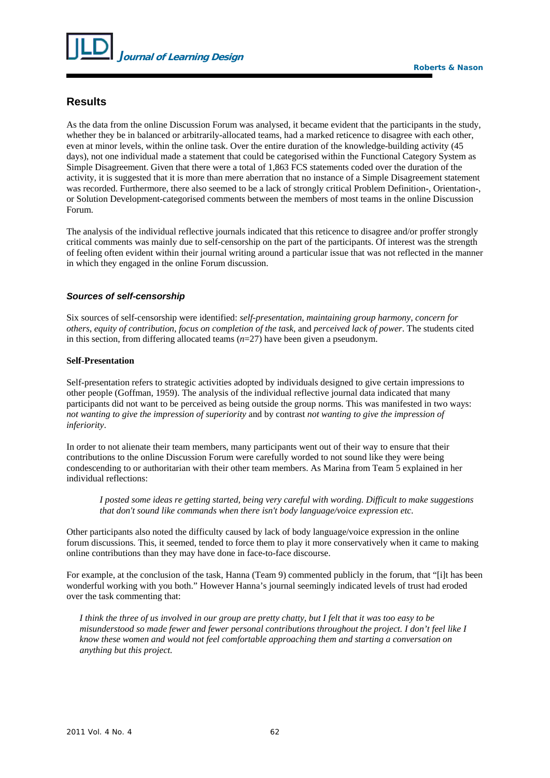

## **Results**

As the data from the online Discussion Forum was analysed, it became evident that the participants in the study, whether they be in balanced or arbitrarily-allocated teams, had a marked reticence to disagree with each other, even at minor levels, within the online task. Over the entire duration of the knowledge-building activity (45 days), not one individual made a statement that could be categorised within the Functional Category System as Simple Disagreement. Given that there were a total of 1,863 FCS statements coded over the duration of the activity, it is suggested that it is more than mere aberration that no instance of a Simple Disagreement statement was recorded. Furthermore, there also seemed to be a lack of strongly critical Problem Definition-, Orientation-, or Solution Development-categorised comments between the members of most teams in the online Discussion Forum.

The analysis of the individual reflective journals indicated that this reticence to disagree and/or proffer strongly critical comments was mainly due to self-censorship on the part of the participants. Of interest was the strength of feeling often evident within their journal writing around a particular issue that was not reflected in the manner in which they engaged in the online Forum discussion.

#### *Sources of self-censorship*

Six sources of self-censorship were identified: *self-presentation*, *maintaining group harmony*, *concern for others*, *equity of contribution*, *focus on completion of the task*, and *perceived lack of power*. The students cited in this section, from differing allocated teams (*n*=27) have been given a pseudonym.

## **Self-Presentation**

Self-presentation refers to strategic activities adopted by individuals designed to give certain impressions to other people (Goffman, 1959). The analysis of the individual reflective journal data indicated that many participants did not want to be perceived as being outside the group norms. This was manifested in two ways: *not wanting to give the impression of superiority* and by contrast *not wanting to give the impression of inferiority*.

In order to not alienate their team members, many participants went out of their way to ensure that their contributions to the online Discussion Forum were carefully worded to not sound like they were being condescending to or authoritarian with their other team members. As Marina from Team 5 explained in her individual reflections:

*I posted some ideas re getting started, being very careful with wording. Difficult to make suggestions that don't sound like commands when there isn't body language/voice expression etc*.

Other participants also noted the difficulty caused by lack of body language/voice expression in the online forum discussions. This, it seemed, tended to force them to play it more conservatively when it came to making online contributions than they may have done in face-to-face discourse.

For example, at the conclusion of the task, Hanna (Team 9) commented publicly in the forum, that "[i]t has been wonderful working with you both." However Hanna's journal seemingly indicated levels of trust had eroded over the task commenting that:

*I think the three of us involved in our group are pretty chatty, but I felt that it was too easy to be misunderstood so made fewer and fewer personal contributions throughout the project. I don't feel like I know these women and would not feel comfortable approaching them and starting a conversation on anything but this project.*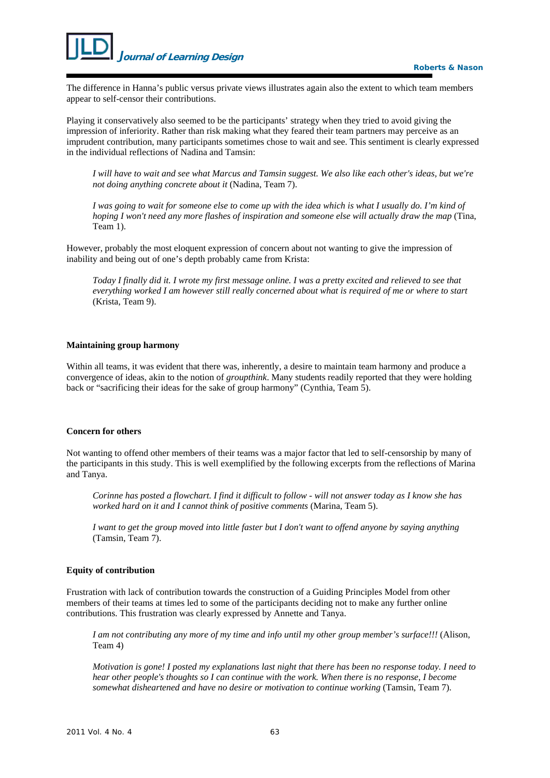The difference in Hanna's public versus private views illustrates again also the extent to which team members appear to self-censor their contributions.

Playing it conservatively also seemed to be the participants' strategy when they tried to avoid giving the impression of inferiority. Rather than risk making what they feared their team partners may perceive as an imprudent contribution, many participants sometimes chose to wait and see. This sentiment is clearly expressed in the individual reflections of Nadina and Tamsin:

*I will have to wait and see what Marcus and Tamsin suggest. We also like each other's ideas, but we're not doing anything concrete about it* (Nadina, Team 7).

*I was going to wait for someone else to come up with the idea which is what I usually do. I'm kind of hoping I won't need any more flashes of inspiration and someone else will actually draw the map* (Tina, Team 1).

However, probably the most eloquent expression of concern about not wanting to give the impression of inability and being out of one's depth probably came from Krista:

*Today I finally did it. I wrote my first message online. I was a pretty excited and relieved to see that everything worked I am however still really concerned about what is required of me or where to start* (Krista, Team 9).

#### **Maintaining group harmony**

Within all teams, it was evident that there was, inherently, a desire to maintain team harmony and produce a convergence of ideas, akin to the notion of *groupthink*. Many students readily reported that they were holding back or "sacrificing their ideas for the sake of group harmony" (Cynthia, Team 5).

## **Concern for others**

Not wanting to offend other members of their teams was a major factor that led to self-censorship by many of the participants in this study. This is well exemplified by the following excerpts from the reflections of Marina and Tanya.

*Corinne has posted a flowchart. I find it difficult to follow - will not answer today as I know she has worked hard on it and I cannot think of positive comments* (Marina, Team 5).

*I want to get the group moved into little faster but I don't want to offend anyone by saying anything* (Tamsin, Team 7).

#### **Equity of contribution**

Frustration with lack of contribution towards the construction of a Guiding Principles Model from other members of their teams at times led to some of the participants deciding not to make any further online contributions. This frustration was clearly expressed by Annette and Tanya.

*I am not contributing any more of my time and info until my other group member's surface!!!* (Alison, Team 4)

*Motivation is gone! I posted my explanations last night that there has been no response today. I need to hear other people's thoughts so I can continue with the work. When there is no response, I become somewhat disheartened and have no desire or motivation to continue working* (Tamsin, Team 7).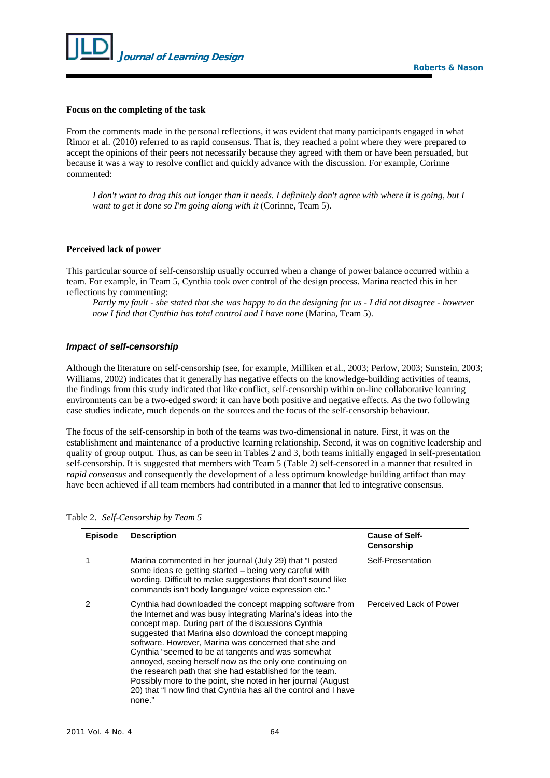

#### **Focus on the completing of the task**

From the comments made in the personal reflections, it was evident that many participants engaged in what Rimor et al. (2010) referred to as rapid consensus. That is, they reached a point where they were prepared to accept the opinions of their peers not necessarily because they agreed with them or have been persuaded, but because it was a way to resolve conflict and quickly advance with the discussion. For example, Corinne commented:

*I don't want to drag this out longer than it needs. I definitely don't agree with where it is going, but I want to get it done so I'm going along with it* (Corinne, Team 5).

## **Perceived lack of power**

This particular source of self-censorship usually occurred when a change of power balance occurred within a team. For example, in Team 5, Cynthia took over control of the design process. Marina reacted this in her reflections by commenting:

*Partly my fault - she stated that she was happy to do the designing for us - I did not disagree - however now I find that Cynthia has total control and I have none* (Marina, Team 5).

#### *Impact of self-censorship*

Although the literature on self-censorship (see, for example, Milliken et al., 2003; Perlow, 2003; Sunstein, 2003; Williams, 2002) indicates that it generally has negative effects on the knowledge-building activities of teams, the findings from this study indicated that like conflict, self-censorship within on-line collaborative learning environments can be a two-edged sword: it can have both positive and negative effects. As the two following case studies indicate, much depends on the sources and the focus of the self-censorship behaviour.

The focus of the self-censorship in both of the teams was two-dimensional in nature. First, it was on the establishment and maintenance of a productive learning relationship. Second, it was on cognitive leadership and quality of group output. Thus, as can be seen in Tables 2 and 3, both teams initially engaged in self-presentation self-censorship. It is suggested that members with Team 5 (Table 2) self-censored in a manner that resulted in *rapid consensus* and consequently the development of a less optimum knowledge building artifact than may have been achieved if all team members had contributed in a manner that led to integrative consensus.

| <b>Episode</b> | <b>Description</b>                                                                                                                                                                                                                                                                                                                                                                                                                                                                                                                                                                                                                | <b>Cause of Self-</b><br><b>Censorship</b> |
|----------------|-----------------------------------------------------------------------------------------------------------------------------------------------------------------------------------------------------------------------------------------------------------------------------------------------------------------------------------------------------------------------------------------------------------------------------------------------------------------------------------------------------------------------------------------------------------------------------------------------------------------------------------|--------------------------------------------|
|                | Marina commented in her journal (July 29) that "I posted<br>some ideas re getting started – being very careful with<br>wording. Difficult to make suggestions that don't sound like<br>commands isn't body language/ voice expression etc."                                                                                                                                                                                                                                                                                                                                                                                       | Self-Presentation                          |
| 2              | Cynthia had downloaded the concept mapping software from<br>the Internet and was busy integrating Marina's ideas into the<br>concept map. During part of the discussions Cynthia<br>suggested that Marina also download the concept mapping<br>software. However, Marina was concerned that she and<br>Cynthia "seemed to be at tangents and was somewhat<br>annoyed, seeing herself now as the only one continuing on<br>the research path that she had established for the team.<br>Possibly more to the point, she noted in her journal (August)<br>20) that "I now find that Cynthia has all the control and I have<br>none." | Perceived Lack of Power                    |

Table 2. *Self-Censorship by Team 5*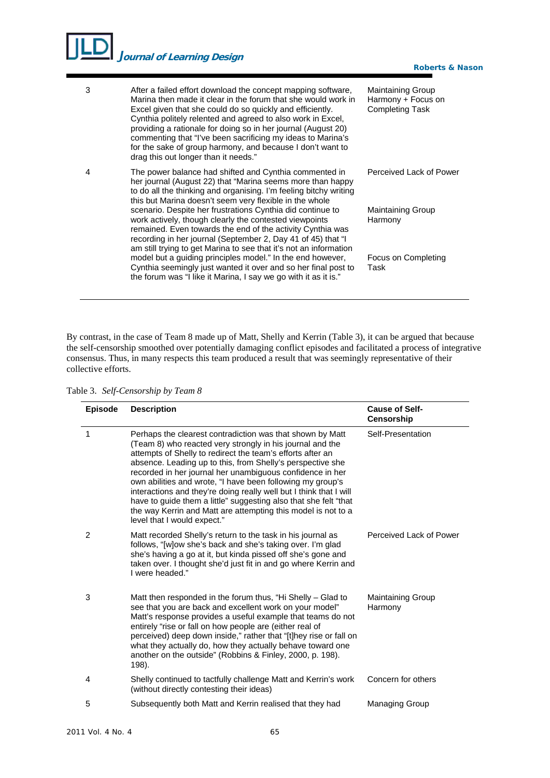# *J***ournal of Learning Design**

| 3 | After a failed effort download the concept mapping software,<br>Marina then made it clear in the forum that she would work in<br>Excel given that she could do so quickly and efficiently.<br>Cynthia politely relented and agreed to also work in Excel,<br>providing a rationale for doing so in her journal (August 20)<br>commenting that "I've been sacrificing my ideas to Marina's<br>for the sake of group harmony, and because I don't want to<br>drag this out longer than it needs."            | <b>Maintaining Group</b><br>Harmony + Focus on<br><b>Completing Task</b> |
|---|------------------------------------------------------------------------------------------------------------------------------------------------------------------------------------------------------------------------------------------------------------------------------------------------------------------------------------------------------------------------------------------------------------------------------------------------------------------------------------------------------------|--------------------------------------------------------------------------|
| 4 | The power balance had shifted and Cynthia commented in<br>her journal (August 22) that "Marina seems more than happy<br>to do all the thinking and organising. I'm feeling bitchy writing<br>this but Marina doesn't seem very flexible in the whole<br>scenario. Despite her frustrations Cynthia did continue to<br>work actively, though clearly the contested viewpoints<br>remained. Even towards the end of the activity Cynthia was<br>recording in her journal (September 2, Day 41 of 45) that "I | Perceived Lack of Power                                                  |
|   |                                                                                                                                                                                                                                                                                                                                                                                                                                                                                                            | <b>Maintaining Group</b><br>Harmony                                      |
|   | am still trying to get Marina to see that it's not an information<br>model but a guiding principles model." In the end however,<br>Cynthia seemingly just wanted it over and so her final post to<br>the forum was "I like it Marina, I say we go with it as it is."                                                                                                                                                                                                                                       | Focus on Completing<br>Task                                              |

**Roberts & Nason**

By contrast, in the case of Team 8 made up of Matt, Shelly and Kerrin (Table 3), it can be argued that because the self-censorship smoothed over potentially damaging conflict episodes and facilitated a process of integrative consensus. Thus, in many respects this team produced a result that was seemingly representative of their collective efforts.

| <b>Episode</b> | <b>Description</b>                                                                                                                                                                                                                                                                                                                                                                                                                                                                                                                                                                                                      | <b>Cause of Self-</b><br><b>Censorship</b> |
|----------------|-------------------------------------------------------------------------------------------------------------------------------------------------------------------------------------------------------------------------------------------------------------------------------------------------------------------------------------------------------------------------------------------------------------------------------------------------------------------------------------------------------------------------------------------------------------------------------------------------------------------------|--------------------------------------------|
| 1              | Perhaps the clearest contradiction was that shown by Matt<br>(Team 8) who reacted very strongly in his journal and the<br>attempts of Shelly to redirect the team's efforts after an<br>absence. Leading up to this, from Shelly's perspective she<br>recorded in her journal her unambiguous confidence in her<br>own abilities and wrote, "I have been following my group's<br>interactions and they're doing really well but I think that I will<br>have to guide them a little" suggesting also that she felt "that<br>the way Kerrin and Matt are attempting this model is not to a<br>level that I would expect." | Self-Presentation                          |
| 2              | Matt recorded Shelly's return to the task in his journal as<br>follows, "[w]ow she's back and she's taking over. I'm glad<br>she's having a go at it, but kinda pissed off she's gone and<br>taken over. I thought she'd just fit in and go where Kerrin and<br>I were headed."                                                                                                                                                                                                                                                                                                                                         | Perceived Lack of Power                    |
| 3              | Matt then responded in the forum thus, "Hi Shelly – Glad to<br>see that you are back and excellent work on your model"<br>Matt's response provides a useful example that teams do not<br>entirely "rise or fall on how people are (either real of<br>perceived) deep down inside," rather that "[t]hey rise or fall on<br>what they actually do, how they actually behave toward one<br>another on the outside" (Robbins & Finley, 2000, p. 198).<br>198).                                                                                                                                                              | <b>Maintaining Group</b><br>Harmony        |
| 4              | Shelly continued to tactfully challenge Matt and Kerrin's work<br>(without directly contesting their ideas)                                                                                                                                                                                                                                                                                                                                                                                                                                                                                                             | Concern for others                         |
| 5              | Subsequently both Matt and Kerrin realised that they had                                                                                                                                                                                                                                                                                                                                                                                                                                                                                                                                                                | Managing Group                             |

Table 3. *Self-Censorship by Team 8*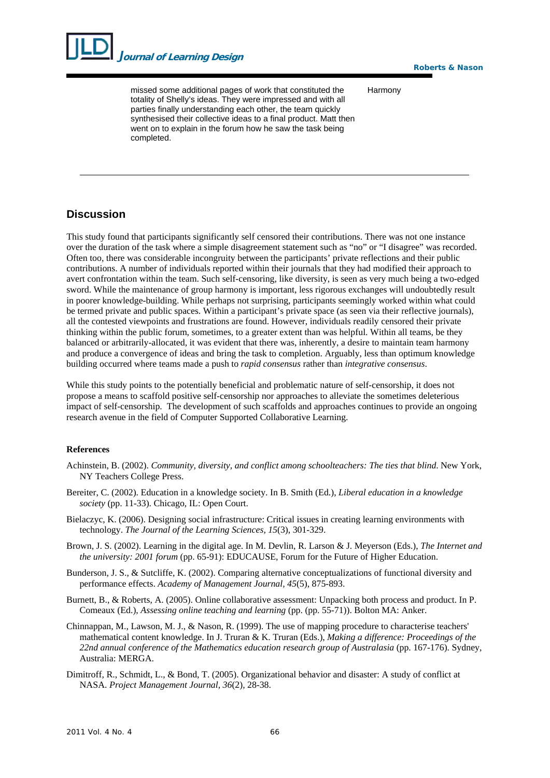

missed some additional pages of work that constituted the totality of Shelly's ideas. They were impressed and with all parties finally understanding each other, the team quickly synthesised their collective ideas to a final product. Matt then went on to explain in the forum how he saw the task being completed.

**Roberts & Nason**

Harmony

## **Discussion**

This study found that participants significantly self censored their contributions. There was not one instance over the duration of the task where a simple disagreement statement such as "no" or "I disagree" was recorded. Often too, there was considerable incongruity between the participants' private reflections and their public contributions. A number of individuals reported within their journals that they had modified their approach to avert confrontation within the team. Such self-censoring, like diversity, is seen as very much being a two-edged sword. While the maintenance of group harmony is important, less rigorous exchanges will undoubtedly result in poorer knowledge-building. While perhaps not surprising, participants seemingly worked within what could be termed private and public spaces. Within a participant's private space (as seen via their reflective journals), all the contested viewpoints and frustrations are found. However, individuals readily censored their private thinking within the public forum, sometimes, to a greater extent than was helpful. Within all teams, be they balanced or arbitrarily-allocated, it was evident that there was, inherently, a desire to maintain team harmony and produce a convergence of ideas and bring the task to completion. Arguably, less than optimum knowledge building occurred where teams made a push to *rapid consensus* rather than *integrative consensus*.

While this study points to the potentially beneficial and problematic nature of self-censorship, it does not propose a means to scaffold positive self-censorship nor approaches to alleviate the sometimes deleterious impact of self-censorship. The development of such scaffolds and approaches continues to provide an ongoing research avenue in the field of Computer Supported Collaborative Learning.

## **References**

- Achinstein, B. (2002). *Community, diversity, and conflict among schoolteachers: The ties that blind*. New York, NY Teachers College Press.
- Bereiter, C. (2002). Education in a knowledge society. In B. Smith (Ed.), *Liberal education in a knowledge society* (pp. 11-33). Chicago, IL: Open Court.
- Bielaczyc, K. (2006). Designing social infrastructure: Critical issues in creating learning environments with technology. *The Journal of the Learning Sciences, 15*(3), 301-329.
- Brown, J. S. (2002). Learning in the digital age. In M. Devlin, R. Larson & J. Meyerson (Eds.), *The Internet and the university: 2001 forum* (pp. 65-91): EDUCAUSE, Forum for the Future of Higher Education.
- Bunderson, J. S., & Sutcliffe, K. (2002). Comparing alternative conceptualizations of functional diversity and performance effects. *Academy of Management Journal, 45*(5), 875-893.
- Burnett, B., & Roberts, A. (2005). Online collaborative assessment: Unpacking both process and product. In P. Comeaux (Ed.), *Assessing online teaching and learning* (pp. (pp. 55-71)). Bolton MA: Anker.
- Chinnappan, M., Lawson, M. J., & Nason, R. (1999). The use of mapping procedure to characterise teachers' mathematical content knowledge. In J. Truran & K. Truran (Eds.), *Making a difference: Proceedings of the 22nd annual conference of the Mathematics education research group of Australasia* (pp. 167-176). Sydney, Australia: MERGA.
- Dimitroff, R., Schmidt, L., & Bond, T. (2005). Organizational behavior and disaster: A study of conflict at NASA. *Project Management Journal, 36*(2), 28-38.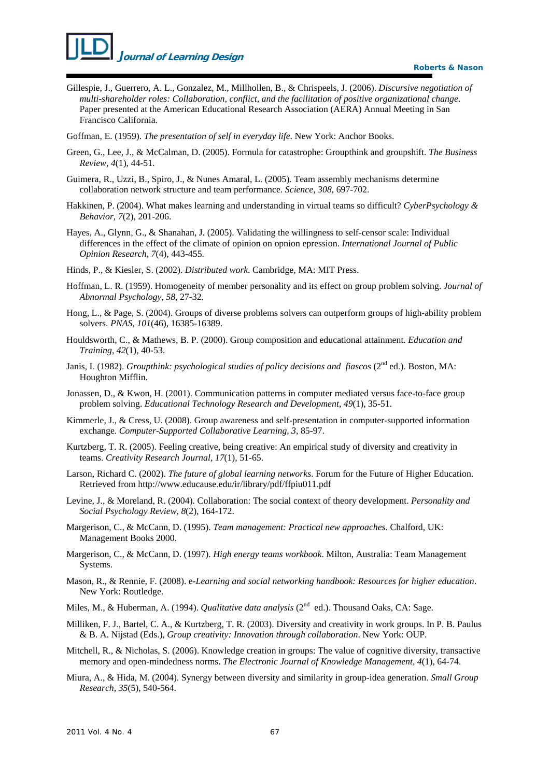- Gillespie, J., Guerrero, A. L., Gonzalez, M., Millhollen, B., & Chrispeels, J. (2006). *Discursive negotiation of multi-shareholder roles: Collaboration, conflict, and the facilitation of positive organizational change*. Paper presented at the American Educational Research Association (AERA) Annual Meeting in San Francisco California.
- Goffman, E. (1959). *The presentation of self in everyday life*. New York: Anchor Books.
- Green, G., Lee, J., & McCalman, D. (2005). Formula for catastrophe: Groupthink and groupshift. *The Business Review, 4*(1), 44-51.
- Guimera, R., Uzzi, B., Spiro, J., & Nunes Amaral, L. (2005). Team assembly mechanisms determine collaboration network structure and team performance. *Science, 308*, 697-702.
- Hakkinen, P. (2004). What makes learning and understanding in virtual teams so difficult? *CyberPsychology & Behavior, 7*(2), 201-206.
- Hayes, A., Glynn, G., & Shanahan, J. (2005). Validating the willingness to self-censor scale: Individual differences in the effect of the climate of opinion on opnion epression. *International Journal of Public Opinion Research, 7*(4), 443-455.
- Hinds, P., & Kiesler, S. (2002). *Distributed work*. Cambridge, MA: MIT Press.
- Hoffman, L. R. (1959). Homogeneity of member personality and its effect on group problem solving. *Journal of Abnormal Psychology, 58,* 27-32.
- Hong, L., & Page, S. (2004). Groups of diverse problems solvers can outperform groups of high-ability problem solvers. *PNAS, 101*(46), 16385-16389.
- Houldsworth, C., & Mathews, B. P. (2000). Group composition and educational attainment. *Education and Training, 42*(1), 40-53.
- Janis, I. (1982). *Groupthink: psychological studies of policy decisions and fiascos* (2<sup>nd</sup> ed.). Boston, MA: Houghton Mifflin.
- Jonassen, D., & Kwon, H. (2001). Communication patterns in computer mediated versus face-to-face group problem solving. *Educational Technology Research and Development, 49*(1), 35-51.
- Kimmerle, J., & Cress, U. (2008). Group awareness and self-presentation in computer-supported information exchange. *Computer-Supported Collaborative Learning, 3*, 85-97.
- Kurtzberg, T. R. (2005). Feeling creative, being creative: An empirical study of diversity and creativity in teams. *Creativity Research Journal, 17*(1), 51-65.
- Larson, Richard C. (2002). *The future of global learning networks*. Forum for the Future of Higher Education. Retrieved from <http://www.educause.edu/ir/library/pdf/ffpiu011.pdf>
- Levine, J., & Moreland, R. (2004). Collaboration: The social context of theory development. *Personality and Social Psychology Review, 8*(2), 164-172.
- Margerison, C., & McCann, D. (1995). *Team management: Practical new approaches*. Chalford, UK: Management Books 2000.
- Margerison, C., & McCann, D. (1997). *High energy teams workbook*. Milton, Australia: Team Management Systems.
- Mason, R., & Rennie, F. (2008). e*-Learning and social networking handbook: Resources for higher education*. New York: Routledge.
- Miles, M., & Huberman, A. (1994). *Qualitative data analysis* (2<sup>nd</sup> ed.). Thousand Oaks, CA: Sage.
- Milliken, F. J., Bartel, C. A., & Kurtzberg, T. R. (2003). Diversity and creativity in work groups. In P. B. Paulus & B. A. Nijstad (Eds.), *Group creativity: Innovation through collaboration*. New York: OUP.
- Mitchell, R., & Nicholas, S. (2006). Knowledge creation in groups: The value of cognitive diversity, transactive memory and open-mindedness norms. *The Electronic Journal of Knowledge Management, 4*(1), 64-74.
- Miura, A., & Hida, M. (2004). Synergy between diversity and similarity in group-idea generation. *Small Group Research, 35*(5), 540-564.